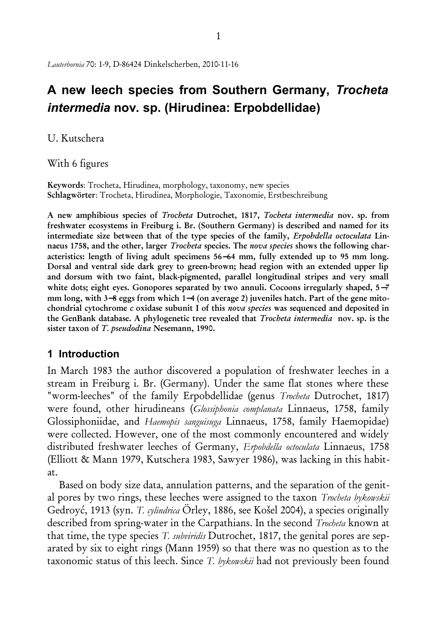# **A new leech species from Southern Germany,** *Trocheta intermedia* **nov. sp. (Hirudinea: Erpobdellidae)**

## U. Kutschera

With 6 figures

Keywords: Trocheta, Hirudinea, morphology, taxonomy, new species Schlagwörter: Trocheta, Hirudinea, Morphologie, Taxonomie, Erstbeschreibung

A new amphibious species of *Trocheta* Dutrochet, 1817, *Tocheta intermedia* nov. sp. from freshwater ecosystems in Freiburg i. Br. (Southern Germany) is described and named for its intermediate size between that of the type species of the family, *Erpobdella octoculata* Linnaeus 1758, and the other, larger *Trocheta* species. The *nova species* shows the following characteristics: length of living adult specimens 56−64 mm, fully extended up to 95 mm long. Dorsal and ventral side dark grey to green-brown; head region with an extended upper lip and dorsum with two faint, black-pigmented, parallel longitudinal stripes and very small white dots; eight eyes. Gonopores separated by two annuli. Cocoons irregularly shaped, 5−7 mm long, with 3–8 eggs from which 1–4 (on average 2) juveniles hatch. Part of the gene mitochondrial cytochrome *c* oxidase subunit I of this *nova species* was sequenced and deposited in the GenBank database. A phylogenetic tree revealed that *Trocheta intermedia* nov. sp. is the sister taxon of *T. pseudodina* Nesemann, 1990.

# **1 Introduction**

In March 1983 the author discovered a population of freshwater leeches in a stream in Freiburg i. Br. (Germany). Under the same flat stones where these "worm-leeches" of the family Erpobdellidae (genus *Trocheta* Dutrochet, 1817) were found, other hirudineans (*Glossiphonia complanata* Linnaeus, 1758, family Glossiphoniidae, and *Haemopis sanguisuga* Linnaeus, 1758, family Haemopidae) were collected. However, one of the most commonly encountered and widely distributed freshwater leeches of Germany, *Erpobdella octoculata* Linnaeus, 1758 (Elliott & Mann 1979, Kutschera 1983, Sawyer 1986), was lacking in this habitat.

Based on body size data, annulation patterns, and the separation of the genital pores by two rings, these leeches were assigned to the taxon *Trocheta bykowskii* Gedroyć, 1913 (syn. *T. cylindrica* Örley, 1886, see Košel 2004), a species originally described from spring-water in the Carpathians. In the second *Trocheta* known at that time, the type species *T. subviridis* Dutrochet, 1817, the genital pores are separated by six to eight rings (Mann 1959) so that there was no question as to the taxonomic status of this leech. Since *T. bykowskii* had not previously been found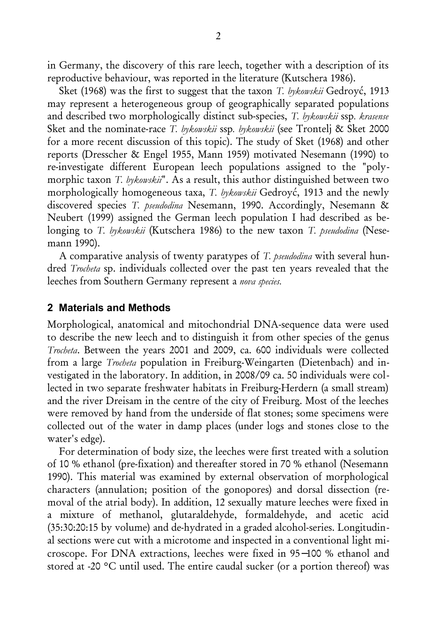in Germany, the discovery of this rare leech, together with a description of its reproductive behaviour, was reported in the literature (Kutschera 1986).

Sket (1968) was the first to suggest that the taxon *T. bykowskii* Gedroyć, 1913 may represent a heterogeneous group of geographically separated populations and described two morphologically distinct sub-species, *T. bykowskii* ssp*. krasense* Sket and the nominate-race *T. bykowskii* ssp*. bykowskii* (see Trontelj & Sket 2000 for a more recent discussion of this topic). The study of Sket (1968) and other reports (Dresscher & Engel 1955, Mann 1959) motivated Nesemann (1990) to re-investigate different European leech populations assigned to the "polymorphic taxon *T. bykowskii*". As a result, this author distinguished between two morphologically homogeneous taxa, *T. bykowskii* Gedroyć, 1913 and the newly discovered species *T. pseudodina* Nesemann, 1990. Accordingly, Nesemann & Neubert (1999) assigned the German leech population I had described as belonging to *T. bykowskii* (Kutschera 1986) to the new taxon *T. pseudodina* (Nesemann 1990).

A comparative analysis of twenty paratypes of *T. pseudodina* with several hundred *Trocheta* sp. individuals collected over the past ten years revealed that the leeches from Southern Germany represent a *nova species.*

## **2 Materials and Methods**

Morphological, anatomical and mitochondrial DNA-sequence data were used to describe the new leech and to distinguish it from other species of the genus *Trocheta*. Between the years 2001 and 2009, ca. 600 individuals were collected from a large *Trocheta* population in Freiburg-Weingarten (Dietenbach) and investigated in the laboratory. In addition, in 2008/09 ca. 50 individuals were collected in two separate freshwater habitats in Freiburg-Herdern (a small stream) and the river Dreisam in the centre of the city of Freiburg. Most of the leeches were removed by hand from the underside of flat stones; some specimens were collected out of the water in damp places (under logs and stones close to the water's edge).

For determination of body size, the leeches were first treated with a solution of 10 % ethanol (pre-fixation) and thereafter stored in 70 % ethanol (Nesemann 1990). This material was examined by external observation of morphological characters (annulation; position of the gonopores) and dorsal dissection (removal of the atrial body). In addition, 12 sexually mature leeches were fixed in a mixture of methanol, glutaraldehyde, formaldehyde, and acetic acid (35:30:20:15 by volume) and de-hydrated in a graded alcohol-series. Longitudinal sections were cut with a microtome and inspected in a conventional light microscope. For DNA extractions, leeches were fixed in 95−100 % ethanol and stored at -20 °C until used. The entire caudal sucker (or a portion thereof) was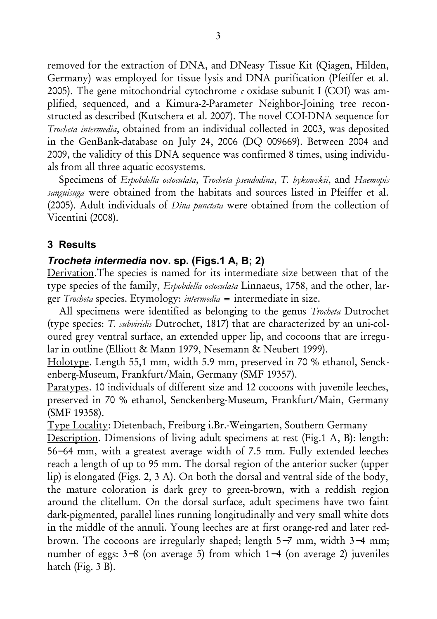removed for the extraction of DNA, and DNeasy Tissue Kit (Qiagen, Hilden, Germany) was employed for tissue lysis and DNA purification (Pfeiffer et al. 2005). The gene mitochondrial cytochrome  $\epsilon$  oxidase subunit I (COI) was amplified, sequenced, and a Kimura-2-Parameter Neighbor-Joining tree reconstructed as described (Kutschera et al. 2007). The novel COI-DNA sequence for *Trocheta intermedia*, obtained from an individual collected in 2003, was deposited in the GenBank-database on July 24, 2006 (DQ 009669). Between 2004 and 2009, the validity of this DNA sequence was confirmed 8 times, using individuals from all three aquatic ecosystems.

Specimens of *Erpobdella octoculata*, *Trocheta pseudodina*, *T. bykowskii*, and *Haemopis sanguisuga* were obtained from the habitats and sources listed in Pfeiffer et al. (2005). Adult individuals of *Dina punctata* were obtained from the collection of Vicentini (2008).

## **3 Results**

#### *Trocheta intermedia* **nov. sp. (Figs.1 A, B; 2)**

Derivation.The species is named for its intermediate size between that of the type species of the family, *Erpobdella octoculata* Linnaeus, 1758, and the other, larger *Trocheta* species. Etymology: *intermedia* = intermediate in size.

All specimens were identified as belonging to the genus *Trocheta* Dutrochet (type species: *T. subviridis* Dutrochet, 1817) that are characterized by an uni-coloured grey ventral surface, an extended upper lip, and cocoons that are irregular in outline (Elliott & Mann 1979, Nesemann & Neubert 1999).

Holotype. Length 55,1 mm, width 5.9 mm, preserved in 70 % ethanol, Senckenberg-Museum, Frankfurt/Main, Germany (SMF 19357).

Paratypes. 10 individuals of different size and 12 cocoons with juvenile leeches, preserved in 70 % ethanol, Senckenberg-Museum, Frankfurt/Main, Germany (SMF 19358).

Type Locality: Dietenbach, Freiburg i.Br.-Weingarten, Southern Germany

Description. Dimensions of living adult specimens at rest (Fig.1 A, B): length: 56−64 mm, with a greatest average width of 7.5 mm. Fully extended leeches reach a length of up to 95 mm. The dorsal region of the anterior sucker (upper lip) is elongated (Figs. 2, 3 A). On both the dorsal and ventral side of the body, the mature coloration is dark grey to green-brown, with a reddish region around the clitellum. On the dorsal surface, adult specimens have two faint dark-pigmented, parallel lines running longitudinally and very small white dots in the middle of the annuli. Young leeches are at first orange-red and later redbrown. The cocoons are irregularly shaped; length 5−7 mm, width 3−4 mm; number of eggs: 3−8 (on average 5) from which 1−4 (on average 2) juveniles hatch (Fig. 3 B).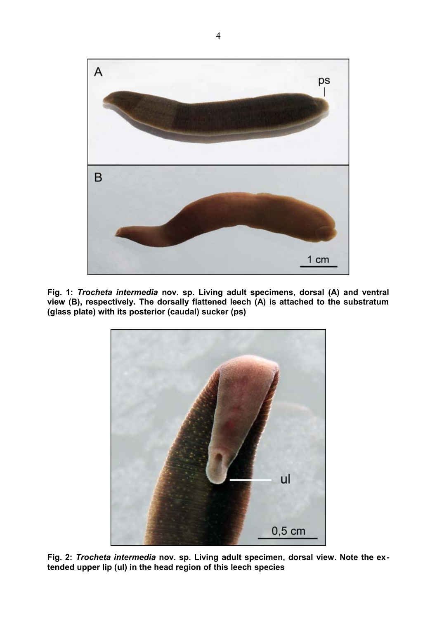

**Fig. 1:** *Trocheta intermedia* **nov. sp. Living adult specimens, dorsal (A) and ventral view (B), respectively. The dorsally flattened leech (A) is attached to the substratum (glass plate) with its posterior (caudal) sucker (ps)**



**Fig. 2:** *Trocheta intermedia* **nov. sp. Living adult specimen, dorsal view. Note the extended upper lip (ul) in the head region of this leech species**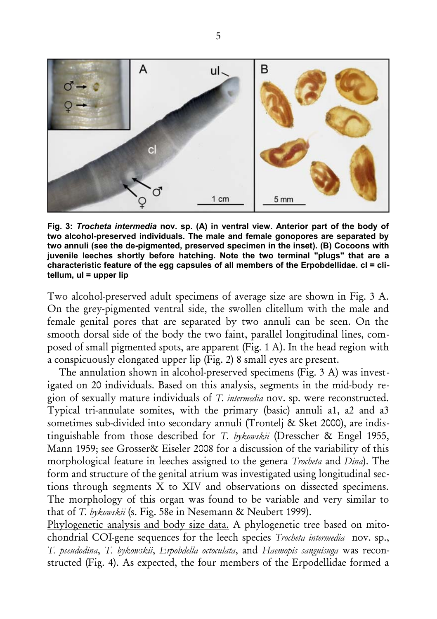

**Fig. 3:** *Trocheta intermedia* **nov. sp. (A) in ventral view. Anterior part of the body of two alcohol-preserved individuals. The male and female gonopores are separated by two annuli (see the de-pigmented, preserved specimen in the inset). (B) Cocoons with juvenile leeches shortly before hatching. Note the two terminal "plugs" that are a characteristic feature of the egg capsules of all members of the Erpobdellidae. cl = clitellum, ul = upper lip**

Two alcohol-preserved adult specimens of average size are shown in Fig. 3 A. On the grey-pigmented ventral side, the swollen clitellum with the male and female genital pores that are separated by two annuli can be seen. On the smooth dorsal side of the body the two faint, parallel longitudinal lines, composed of small pigmented spots, are apparent (Fig. 1 A). In the head region with a conspicuously elongated upper lip (Fig. 2) 8 small eyes are present.

The annulation shown in alcohol-preserved specimens (Fig. 3 A) was investigated on 20 individuals. Based on this analysis, segments in the mid-body region of sexually mature individuals of *T. intermedia* nov. sp. were reconstructed. Typical tri-annulate somites, with the primary (basic) annuli a1, a2 and a3 sometimes sub-divided into secondary annuli (Trontelj & Sket 2000), are indistinguishable from those described for *T. bykowskii* (Dresscher & Engel 1955, Mann 1959; see Grosser& Eiseler 2008 for a discussion of the variability of this morphological feature in leeches assigned to the genera *Trocheta* and *Dina*). The form and structure of the genital atrium was investigated using longitudinal sections through segments X to XIV and observations on dissected specimens. The morphology of this organ was found to be variable and very similar to that of *T. bykowskii* (s. Fig. 58e in Nesemann & Neubert 1999).

Phylogenetic analysis and body size data. A phylogenetic tree based on mitochondrial COI-gene sequences for the leech species *Trocheta intermedia* nov. sp., *T. pseudodina*, *T. bykowskii*, *Erpobdella octoculata*, and *Haemopis sanguisuga* was reconstructed (Fig. 4). As expected, the four members of the Erpodellidae formed a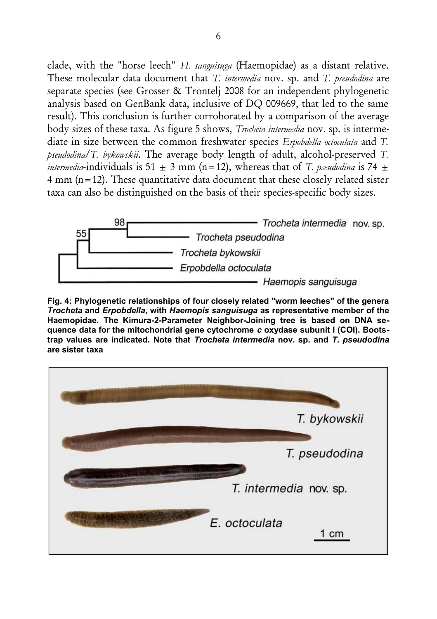clade, with the "horse leech" *H. sanguisuga* (Haemopidae) as a distant relative. These molecular data document that *T. intermedia* nov. sp. and *T. pseudodina* are separate species (see Grosser & Trontelj 2008 for an independent phylogenetic analysis based on GenBank data, inclusive of DQ 009669, that led to the same result). This conclusion is further corroborated by a comparison of the average body sizes of these taxa. As figure 5 shows, *Trocheta intermedia* nov. sp. is intermediate in size between the common freshwater species *Erpobdella octoculata* and *T. pseudodina*/*T. bykowskii*. The average body length of adult, alcohol-preserved *T. intermedia*-individuals is 51  $\pm$  3 mm (n=12), whereas that of *T. pseudodina* is 74  $\pm$ 4 mm (n=12). These quantitative data document that these closely related sister taxa can also be distinguished on the basis of their species-specific body sizes.



**Fig. 4: Phylogenetic relationships of four closely related "worm leeches" of the genera** *Trocheta* **and** *Erpobdella***, with** *Haemopis sanguisuga* **as representative member of the Haemopidae. The Kimura-2-Parameter Neighbor-Joining tree is based on DNA sequence data for the mitochondrial gene cytochrome** *c* **oxydase subunit I (COI). Bootstrap values are indicated. Note that** *Trocheta intermedia* **nov. sp. and** *T. pseudodina* **are sister taxa**

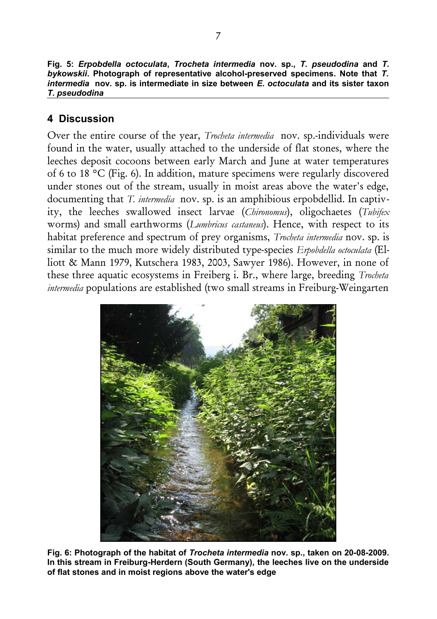**Fig. 5:** *Erpobdella octoculata***,** *Trocheta intermedia* **nov. sp.,** *T. pseudodina* **and** *T. bykowskii***. Photograph of representative alcohol-preserved specimens. Note that** *T. intermedia* **nov. sp. is intermediate in size between** *E. octoculata* **and its sister taxon** *T. pseudodina*

# **4 Discussion**

Over the entire course of the year, *Trocheta intermedia* nov. sp.-individuals were found in the water, usually attached to the underside of flat stones, where the leeches deposit cocoons between early March and June at water temperatures of 6 to 18 °C (Fig. 6). In addition, mature specimens were regularly discovered under stones out of the stream, usually in moist areas above the water's edge, documenting that *T. intermedia* nov. sp. is an amphibious erpobdellid. In captivity, the leeches swallowed insect larvae (*Chironomus*), oligochaetes (*Tubifex* worms) and small earthworms (*Lumbricus castaneus*). Hence, with respect to its habitat preference and spectrum of prey organisms, *Trocheta intermedia* nov. sp. is similar to the much more widely distributed type-species *Erpobdella octoculata* (Elliott & Mann 1979, Kutschera 1983, 2003, Sawyer 1986). However, in none of these three aquatic ecosystems in Freiberg i. Br., where large, breeding *Trocheta intermedia* populations are established (two small streams in Freiburg-Weingarten



**Fig. 6: Photograph of the habitat of** *Trocheta intermedia* **nov. sp., taken on 20-08-2009. In this stream in Freiburg-Herdern (South Germany), the leeches live on the underside of flat stones and in moist regions above the water's edge**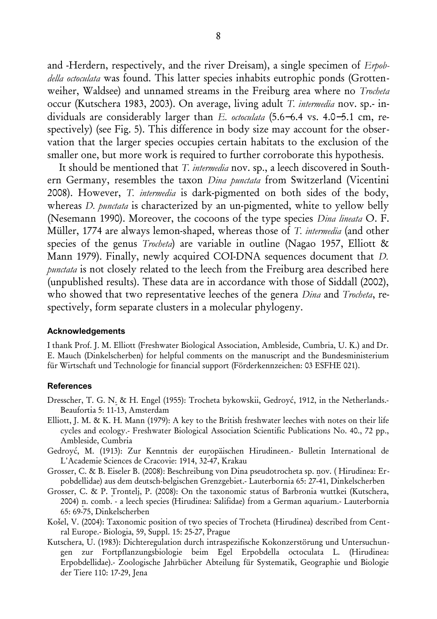and -Herdern, respectively, and the river Dreisam), a single specimen of *Erpobdella octoculata* was found. This latter species inhabits eutrophic ponds (Grottenweiher, Waldsee) and unnamed streams in the Freiburg area where no *Trocheta* occur (Kutschera 1983, 2003). On average, living adult *T. intermedia* nov. sp.- individuals are considerably larger than *E. octoculata* (5.6−6.4 vs. 4.0−5.1 cm, respectively) (see Fig. 5). This difference in body size may account for the observation that the larger species occupies certain habitats to the exclusion of the smaller one, but more work is required to further corroborate this hypothesis.

It should be mentioned that *T. intermedia* nov. sp., a leech discovered in Southern Germany, resembles the taxon *Dina punctata* from Switzerland (Vicentini 2008). However, *T. intermedia* is dark-pigmented on both sides of the body, whereas *D. punctata* is characterized by an un-pigmented, white to yellow belly (Nesemann 1990). Moreover, the cocoons of the type species *Dina lineata* O. F. Müller, 1774 are always lemon-shaped, whereas those of *T. intermedia* (and other species of the genus *Trocheta*) are variable in outline (Nagao 1957, Elliott & Mann 1979). Finally, newly acquired COI-DNA sequences document that *D. punctata* is not closely related to the leech from the Freiburg area described here (unpublished results). These data are in accordance with those of Siddall (2002), who showed that two representative leeches of the genera *Dina* and *Trocheta*, respectively, form separate clusters in a molecular phylogeny.

#### **Acknowledgements**

I thank Prof. J. M. Elliott (Freshwater Biological Association, Ambleside, Cumbria, U. K.) and Dr. E. Mauch (Dinkelscherben) for helpful comments on the manuscript and the Bundesministerium für Wirtschaft und Technologie for financial support (Förderkennzeichen: 03 ESFHE 021).

#### **References**

- Dresscher, T. G. N. & H. Engel (1955): Trocheta bykowskii, Gedroyć, 1912, in the Netherlands.- Beaufortia 5: 11-13, Amsterdam
- Elliott, J. M. & K. H. Mann (1979): A key to the British freshwater leeches with notes on their life cycles and ecology.- Freshwater Biological Association Scientific Publications No. 40., 72 pp., Ambleside, Cumbria
- Gedroyć, M. (1913): Zur Kenntnis der europäischen Hirudineen.- Bulletin International de L'Academie Sciences de Cracovie: 1914, 32-47, Krakau
- Grosser, C. & B. Eiseler B. (2008): Beschreibung von Dina pseudotrocheta sp. nov. ( Hirudinea: Erpobdellidae) aus dem deutsch-belgischen Grenzgebiet.- Lauterbornia 65: 27-41, Dinkelscherben
- Grosser, C. & P. Trontelj, P. (2008): On the taxonomic status of Barbronia wuttkei (Kutschera, 2004) n. comb. - a leech species (Hirudinea: Salifidae) from a German aquarium.- Lauterbornia 65: 69-75, Dinkelscherben
- Košel, V. (2004): Taxonomic position of two species of Trocheta (Hirudinea) described from Central Europe.- Biologia, 59, Suppl. 15: 25-27, Prague
- Kutschera, U. (1983): Dichteregulation durch intraspezifische Kokonzerstörung und Untersuchungen zur Fortpflanzungsbiologie beim Egel Erpobdella octoculata L. (Hirudinea: Erpobdellidae).- Zoologische Jahrbücher Abteilung für Systematik, Geographie und Biologie der Tiere 110: 17-29, Jena